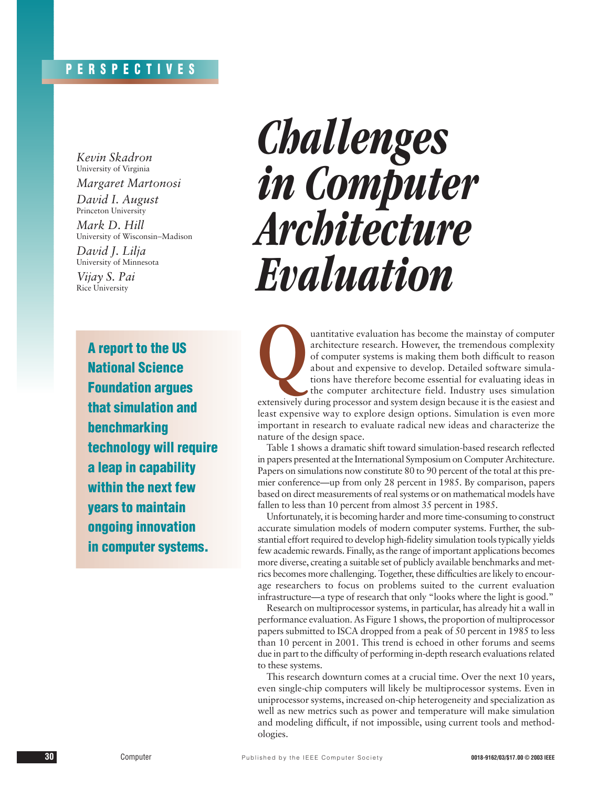# **PERSPECTIVES**

*Kevin Skadron* University of Virginia *Margaret Martonosi David I. August* Princeton University *Mark D. Hill* University of Wisconsin−Madison *David J. Lilja* University of Minnesota

*Vijay S. Pai* Rice University

> **A report to the US National Science Foundation argues that simulation and benchmarking technology will require a leap in capability within the next few years to maintain ongoing innovation in computer systems.**

# *Challenges in Computer Architecture Evaluation*

quantitative evaluation has become the mainstay of computer<br>architecture research. However, the tremendous complexity<br>of computer systems is making them both difficult to reason<br>about and expensive to develop. Detailed sof architecture research. However, the tremendous complexity of computer systems is making them both difficult to reason about and expensive to develop. Detailed software simulations have therefore become essential for evaluating ideas in the computer architecture field. Industry uses simulation extensively during processor and system design because it is the easiest and least expensive way to explore design options. Simulation is even more important in research to evaluate radical new ideas and characterize the nature of the design space.

Table 1 shows a dramatic shift toward simulation-based research reflected in papers presented at the International Symposium on Computer Architecture. Papers on simulations now constitute 80 to 90 percent of the total at this premier conference—up from only 28 percent in 1985. By comparison, papers based on direct measurements of real systems or on mathematical models have fallen to less than 10 percent from almost 35 percent in 1985.

Unfortunately, it is becoming harder and more time-consuming to construct accurate simulation models of modern computer systems. Further, the substantial effort required to develop high-fidelity simulation tools typically yields few academic rewards. Finally, as the range of important applications becomes more diverse, creating a suitable set of publicly available benchmarks and metrics becomes more challenging. Together, these difficulties are likely to encourage researchers to focus on problems suited to the current evaluation infrastructure—a type of research that only "looks where the light is good."

Research on multiprocessor systems, in particular, has already hit a wall in performance evaluation. As Figure 1 shows, the proportion of multiprocessor papers submitted to ISCA dropped from a peak of 50 percent in 1985 to less than 10 percent in 2001. This trend is echoed in other forums and seems due in part to the difficulty of performing in-depth research evaluations related to these systems.

This research downturn comes at a crucial time. Over the next 10 years, even single-chip computers will likely be multiprocessor systems. Even in uniprocessor systems, increased on-chip heterogeneity and specialization as well as new metrics such as power and temperature will make simulation and modeling difficult, if not impossible, using current tools and methodologies.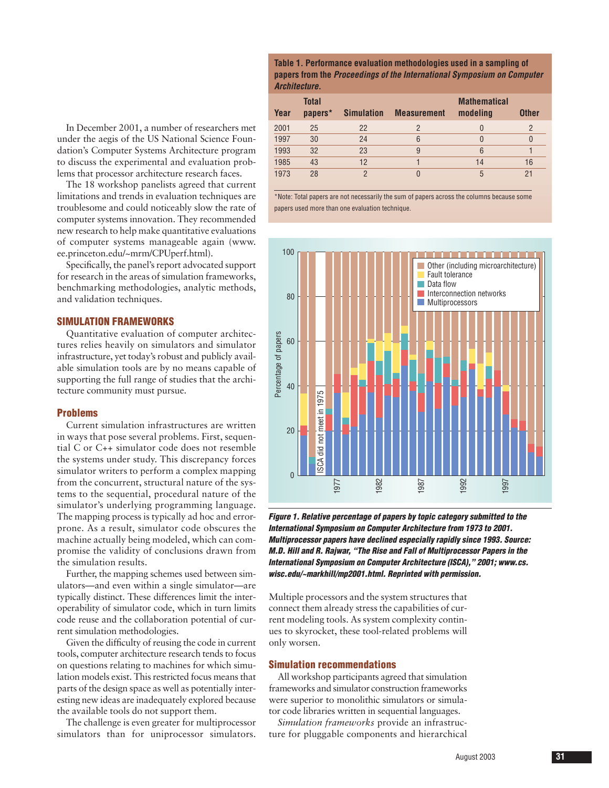**Table 1. Performance evaluation methodologies used in a sampling of papers from the** *Proceedings of the International Symposium on Computer Architecture***.** 

| Year | <b>Total</b><br>papers* | <b>Simulation</b> | <b>Measurement</b> | <b>Mathematical</b><br>modeling | <b>Other</b> |
|------|-------------------------|-------------------|--------------------|---------------------------------|--------------|
| 2001 | 25                      | 22                |                    |                                 | 2            |
| 1997 | 30                      | 24                | 6                  |                                 |              |
| 1993 | 32                      | 23                | 9                  | 6                               |              |
| 1985 | 43                      | 12                |                    | 14                              | 16           |
| 1973 | 28                      |                   |                    | 5                               |              |

\*Note: Total papers are not necessarily the sum of papers across the columns because some papers used more than one evaluation technique.



*Figure 1. Relative percentage of papers by topic category submitted to the International Symposium on Computer Architecture from 1973 to 2001. Multiprocessor papers have declined especially rapidly since 1993. Source: M.D. Hill and R. Rajwar, "The Rise and Fall of Multiprocessor Papers in the International Symposium on Computer Architecture (ISCA)," 2001; www.cs. wisc.edu/~markhill/mp2001.html. Reprinted with permission.*

Multiple processors and the system structures that connect them already stress the capabilities of current modeling tools. As system complexity continues to skyrocket, these tool-related problems will only worsen.

# **Simulation recommendations**

All workshop participants agreed that simulation frameworks and simulator construction frameworks were superior to monolithic simulators or simulator code libraries written in sequential languages.

*Simulation frameworks* provide an infrastructure for pluggable components and hierarchical

In December 2001, a number of researchers met under the aegis of the US National Science Foundation's Computer Systems Architecture program to discuss the experimental and evaluation problems that processor architecture research faces.

The 18 workshop panelists agreed that current limitations and trends in evaluation techniques are troublesome and could noticeably slow the rate of computer systems innovation. They recommended new research to help make quantitative evaluations of computer systems manageable again (www. ee.princeton.edu/~mrm/CPUperf.html).

Specifically, the panel's report advocated support for research in the areas of simulation frameworks, benchmarking methodologies, analytic methods, and validation techniques.

### **SIMULATION FRAMEWORKS**

Quantitative evaluation of computer architectures relies heavily on simulators and simulator infrastructure, yet today's robust and publicly available simulation tools are by no means capable of supporting the full range of studies that the architecture community must pursue.

### **Problems**

Current simulation infrastructures are written in ways that pose several problems. First, sequential C or C++ simulator code does not resemble the systems under study. This discrepancy forces simulator writers to perform a complex mapping from the concurrent, structural nature of the systems to the sequential, procedural nature of the simulator's underlying programming language. The mapping process is typically ad hoc and errorprone. As a result, simulator code obscures the machine actually being modeled, which can compromise the validity of conclusions drawn from the simulation results.

Further, the mapping schemes used between simulators—and even within a single simulator—are typically distinct. These differences limit the interoperability of simulator code, which in turn limits code reuse and the collaboration potential of current simulation methodologies.

Given the difficulty of reusing the code in current tools, computer architecture research tends to focus on questions relating to machines for which simulation models exist. This restricted focus means that parts of the design space as well as potentially interesting new ideas are inadequately explored because the available tools do not support them.

The challenge is even greater for multiprocessor simulators than for uniprocessor simulators.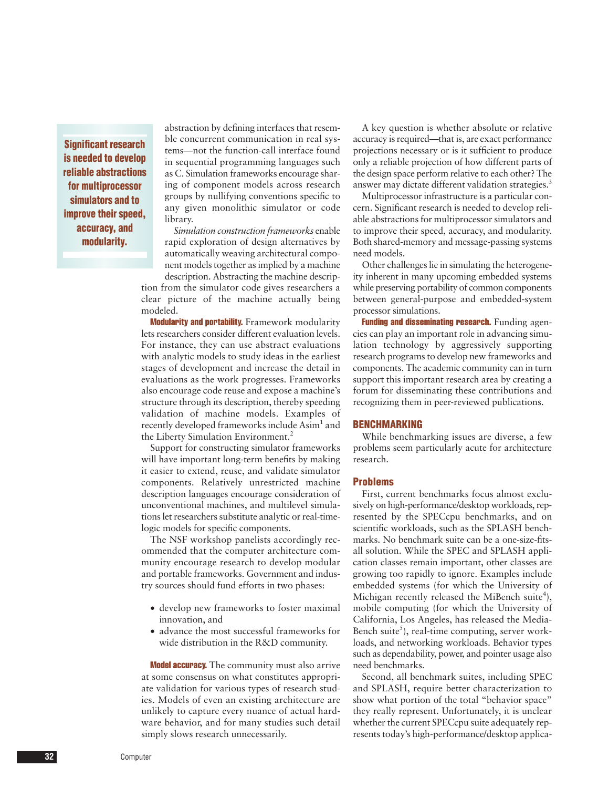**Significant research is needed to develop reliable abstractions for multiprocessor simulators and to improve their speed, accuracy, and modularity.**

abstraction by defining interfaces that resemble concurrent communication in real systems—not the function-call interface found in sequential programming languages such as C. Simulation frameworks encourage sharing of component models across research groups by nullifying conventions specific to any given monolithic simulator or code library.

*Simulation construction frameworks* enable rapid exploration of design alternatives by automatically weaving architectural component models together as implied by a machine description. Abstracting the machine descrip-

tion from the simulator code gives researchers a clear picture of the machine actually being modeled.

**Modularity and portability.** Framework modularity lets researchers consider different evaluation levels. For instance, they can use abstract evaluations with analytic models to study ideas in the earliest stages of development and increase the detail in evaluations as the work progresses. Frameworks also encourage code reuse and expose a machine's structure through its description, thereby speeding validation of machine models. Examples of recently developed frameworks include Asim<sup>1</sup> and the Liberty Simulation Environment.<sup>2</sup>

Support for constructing simulator frameworks will have important long-term benefits by making it easier to extend, reuse, and validate simulator components. Relatively unrestricted machine description languages encourage consideration of unconventional machines, and multilevel simulations let researchers substitute analytic or real-timelogic models for specific components.

The NSF workshop panelists accordingly recommended that the computer architecture community encourage research to develop modular and portable frameworks. Government and industry sources should fund efforts in two phases:

- develop new frameworks to foster maximal innovation, and
- advance the most successful frameworks for wide distribution in the R&D community.

**Model accuracy.** The community must also arrive at some consensus on what constitutes appropriate validation for various types of research studies. Models of even an existing architecture are unlikely to capture every nuance of actual hardware behavior, and for many studies such detail simply slows research unnecessarily.

A key question is whether absolute or relative accuracy is required—that is, are exact performance projections necessary or is it sufficient to produce only a reliable projection of how different parts of the design space perform relative to each other? The answer may dictate different validation strategies.<sup>3</sup>

Multiprocessor infrastructure is a particular concern. Significant research is needed to develop reliable abstractions for multiprocessor simulators and to improve their speed, accuracy, and modularity. Both shared-memory and message-passing systems need models.

Other challenges lie in simulating the heterogeneity inherent in many upcoming embedded systems while preserving portability of common components between general-purpose and embedded-system processor simulations.

Funding and disseminating research. Funding agencies can play an important role in advancing simulation technology by aggressively supporting research programs to develop new frameworks and components. The academic community can in turn support this important research area by creating a forum for disseminating these contributions and recognizing them in peer-reviewed publications.

### **BENCHMARKING**

While benchmarking issues are diverse, a few problems seem particularly acute for architecture research.

# **Problems**

First, current benchmarks focus almost exclusively on high-performance/desktop workloads, represented by the SPECcpu benchmarks, and on scientific workloads, such as the SPLASH benchmarks. No benchmark suite can be a one-size-fitsall solution. While the SPEC and SPLASH application classes remain important, other classes are growing too rapidly to ignore. Examples include embedded systems (for which the University of Michigan recently released the MiBench suite<sup>4</sup>), mobile computing (for which the University of California, Los Angeles, has released the Media-Bench suite<sup>5</sup>), real-time computing, server workloads, and networking workloads. Behavior types such as dependability, power, and pointer usage also need benchmarks.

Second, all benchmark suites, including SPEC and SPLASH, require better characterization to show what portion of the total "behavior space" they really represent. Unfortunately, it is unclear whether the current SPECcpu suite adequately represents today's high-performance/desktop applica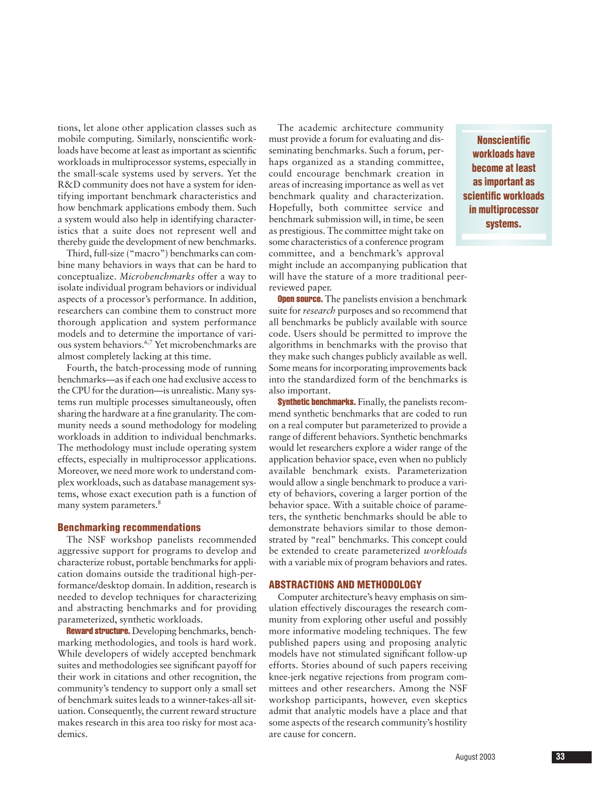tions, let alone other application classes such as mobile computing. Similarly, nonscientific workloads have become at least as important as scientific workloads in multiprocessor systems, especially in the small-scale systems used by servers. Yet the R&D community does not have a system for identifying important benchmark characteristics and how benchmark applications embody them. Such a system would also help in identifying characteristics that a suite does not represent well and thereby guide the development of new benchmarks.

Third, full-size ("macro") benchmarks can combine many behaviors in ways that can be hard to conceptualize. *Microbenchmarks* offer a way to isolate individual program behaviors or individual aspects of a processor's performance. In addition, researchers can combine them to construct more thorough application and system performance models and to determine the importance of various system behaviors.6,7 Yet microbenchmarks are almost completely lacking at this time.

Fourth, the batch-processing mode of running benchmarks—as if each one had exclusive access to the CPU for the duration—is unrealistic. Many systems run multiple processes simultaneously, often sharing the hardware at a fine granularity. The community needs a sound methodology for modeling workloads in addition to individual benchmarks. The methodology must include operating system effects, especially in multiprocessor applications. Moreover, we need more work to understand complex workloads, such as database management systems, whose exact execution path is a function of many system parameters.<sup>8</sup>

# **Benchmarking recommendations**

The NSF workshop panelists recommended aggressive support for programs to develop and characterize robust, portable benchmarks for application domains outside the traditional high-performance/desktop domain. In addition, research is needed to develop techniques for characterizing and abstracting benchmarks and for providing parameterized, synthetic workloads.

Reward structure. Developing benchmarks, benchmarking methodologies, and tools is hard work. While developers of widely accepted benchmark suites and methodologies see significant payoff for their work in citations and other recognition, the community's tendency to support only a small set of benchmark suites leads to a winner-takes-all situation. Consequently, the current reward structure makes research in this area too risky for most academics.

The academic architecture community must provide a forum for evaluating and disseminating benchmarks. Such a forum, perhaps organized as a standing committee, could encourage benchmark creation in areas of increasing importance as well as vet benchmark quality and characterization. Hopefully, both committee service and benchmark submission will, in time, be seen as prestigious. The committee might take on some characteristics of a conference program committee, and a benchmark's approval might include an accompanying publication that will have the stature of a more traditional peerreviewed paper.

**Open source.** The panelists envision a benchmark suite for *research* purposes and so recommend that all benchmarks be publicly available with source code. Users should be permitted to improve the algorithms in benchmarks with the proviso that they make such changes publicly available as well. Some means for incorporating improvements back into the standardized form of the benchmarks is also important.

**Synthetic benchmarks.** Finally, the panelists recommend synthetic benchmarks that are coded to run on a real computer but parameterized to provide a range of different behaviors. Synthetic benchmarks would let researchers explore a wider range of the application behavior space, even when no publicly available benchmark exists. Parameterization would allow a single benchmark to produce a variety of behaviors, covering a larger portion of the behavior space. With a suitable choice of parameters, the synthetic benchmarks should be able to demonstrate behaviors similar to those demonstrated by "real" benchmarks. This concept could be extended to create parameterized *workloads* with a variable mix of program behaviors and rates.

# **ABSTRACTIONS AND METHODOLOGY**

Computer architecture's heavy emphasis on simulation effectively discourages the research community from exploring other useful and possibly more informative modeling techniques. The few published papers using and proposing analytic models have not stimulated significant follow-up efforts. Stories abound of such papers receiving knee-jerk negative rejections from program committees and other researchers. Among the NSF workshop participants, however, even skeptics admit that analytic models have a place and that some aspects of the research community's hostility are cause for concern.

**Nonscientific workloads have become at least as important as scientific workloads in multiprocessor systems.**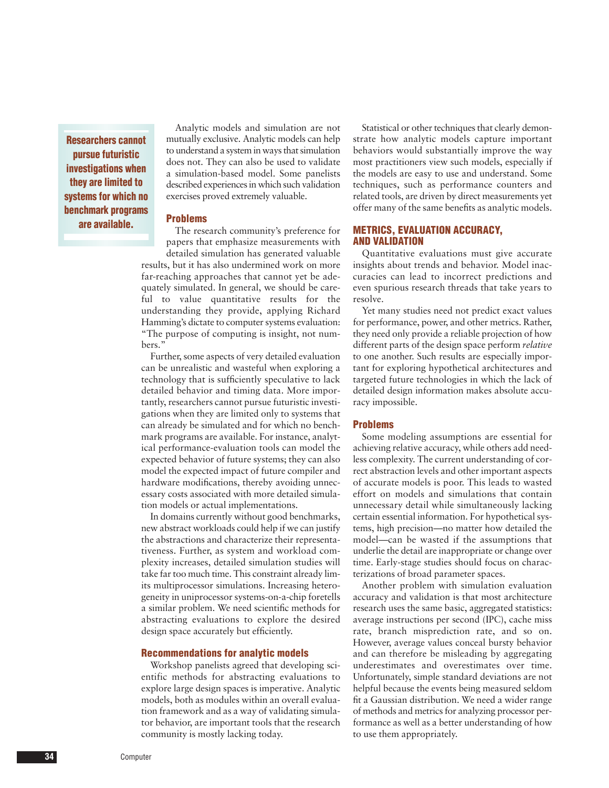**Researchers cannot pursue futuristic investigations when they are limited to systems for which no benchmark programs are available.**

Analytic models and simulation are not mutually exclusive. Analytic models can help to understand a system in ways that simulation does not. They can also be used to validate a simulation-based model. Some panelists described experiences in which such validation exercises proved extremely valuable.

# **Problems**

The research community's preference for papers that emphasize measurements with

detailed simulation has generated valuable results, but it has also undermined work on more far-reaching approaches that cannot yet be adequately simulated. In general, we should be careful to value quantitative results for the understanding they provide, applying Richard Hamming's dictate to computer systems evaluation: "The purpose of computing is insight, not numbers."

Further, some aspects of very detailed evaluation can be unrealistic and wasteful when exploring a technology that is sufficiently speculative to lack detailed behavior and timing data. More importantly, researchers cannot pursue futuristic investigations when they are limited only to systems that can already be simulated and for which no benchmark programs are available. For instance, analytical performance-evaluation tools can model the expected behavior of future systems; they can also model the expected impact of future compiler and hardware modifications, thereby avoiding unnecessary costs associated with more detailed simulation models or actual implementations.

In domains currently without good benchmarks, new abstract workloads could help if we can justify the abstractions and characterize their representativeness. Further, as system and workload complexity increases, detailed simulation studies will take far too much time. This constraint already limits multiprocessor simulations. Increasing heterogeneity in uniprocessor systems-on-a-chip foretells a similar problem. We need scientific methods for abstracting evaluations to explore the desired design space accurately but efficiently.

# **Recommendations for analytic models**

Workshop panelists agreed that developing scientific methods for abstracting evaluations to explore large design spaces is imperative. Analytic models, both as modules within an overall evaluation framework and as a way of validating simulator behavior, are important tools that the research community is mostly lacking today.

Statistical or other techniques that clearly demonstrate how analytic models capture important behaviors would substantially improve the way most practitioners view such models, especially if the models are easy to use and understand. Some techniques, such as performance counters and related tools, are driven by direct measurements yet offer many of the same benefits as analytic models.

# **METRICS, EVALUATION ACCURACY, AND VALIDATION**

Quantitative evaluations must give accurate insights about trends and behavior. Model inaccuracies can lead to incorrect predictions and even spurious research threads that take years to resolve.

Yet many studies need not predict exact values for performance, power, and other metrics. Rather, they need only provide a reliable projection of how different parts of the design space perform *relative* to one another. Such results are especially important for exploring hypothetical architectures and targeted future technologies in which the lack of detailed design information makes absolute accuracy impossible.

#### **Problems**

Some modeling assumptions are essential for achieving relative accuracy, while others add needless complexity. The current understanding of correct abstraction levels and other important aspects of accurate models is poor. This leads to wasted effort on models and simulations that contain unnecessary detail while simultaneously lacking certain essential information. For hypothetical systems, high precision—no matter how detailed the model—can be wasted if the assumptions that underlie the detail are inappropriate or change over time. Early-stage studies should focus on characterizations of broad parameter spaces.

Another problem with simulation evaluation accuracy and validation is that most architecture research uses the same basic, aggregated statistics: average instructions per second (IPC), cache miss rate, branch misprediction rate, and so on. However, average values conceal bursty behavior and can therefore be misleading by aggregating underestimates and overestimates over time. Unfortunately, simple standard deviations are not helpful because the events being measured seldom fit a Gaussian distribution. We need a wider range of methods and metrics for analyzing processor performance as well as a better understanding of how to use them appropriately.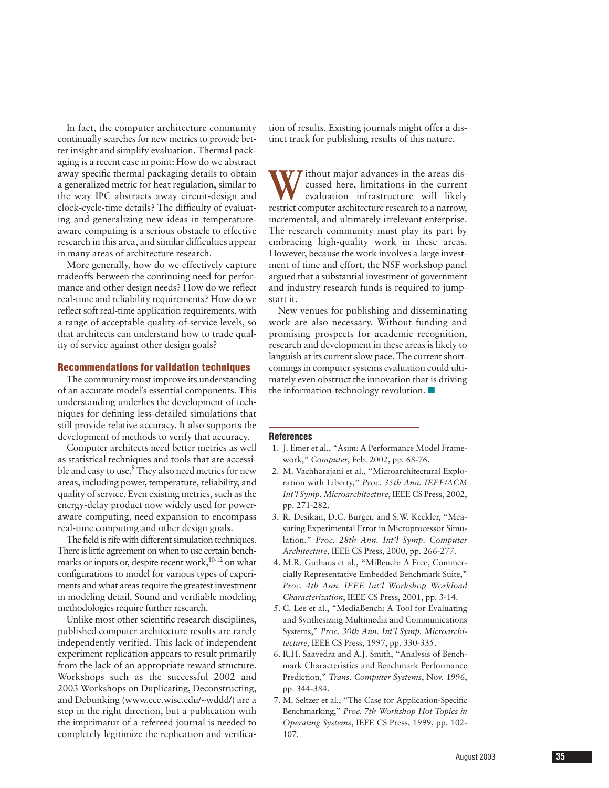In fact, the computer architecture community continually searches for new metrics to provide better insight and simplify evaluation. Thermal packaging is a recent case in point: How do we abstract away specific thermal packaging details to obtain a generalized metric for heat regulation, similar to the way IPC abstracts away circuit-design and clock-cycle-time details? The difficulty of evaluating and generalizing new ideas in temperatureaware computing is a serious obstacle to effective research in this area, and similar difficulties appear in many areas of architecture research.

More generally, how do we effectively capture tradeoffs between the continuing need for performance and other design needs? How do we reflect real-time and reliability requirements? How do we reflect soft real-time application requirements, with a range of acceptable quality-of-service levels, so that architects can understand how to trade quality of service against other design goals?

### **Recommendations for validation techniques**

The community must improve its understanding of an accurate model's essential components. This understanding underlies the development of techniques for defining less-detailed simulations that still provide relative accuracy. It also supports the development of methods to verify that accuracy.

Computer architects need better metrics as well as statistical techniques and tools that are accessible and easy to use.<sup>9</sup> They also need metrics for new areas, including power, temperature, reliability, and quality of service. Even existing metrics, such as the energy-delay product now widely used for poweraware computing, need expansion to encompass real-time computing and other design goals.

The field is rife with different simulation techniques. There is little agreement on when to use certain benchmarks or inputs or, despite recent work, $10-12$  on what configurations to model for various types of experiments and what areas require the greatest investment in modeling detail. Sound and verifiable modeling methodologies require further research.

Unlike most other scientific research disciplines, published computer architecture results are rarely independently verified. This lack of independent experiment replication appears to result primarily from the lack of an appropriate reward structure. Workshops such as the successful 2002 and 2003 Workshops on Duplicating, Deconstructing, and Debunking (www.ece.wisc.edu/~wddd/) are a step in the right direction, but a publication with the imprimatur of a refereed journal is needed to completely legitimize the replication and verification of results. Existing journals might offer a distinct track for publishing results of this nature.

W ithout major advances in the areas dis-<br>
evaluation infrastructure will likely<br>
restrict computer architecture research to a narrow, cussed here, limitations in the current evaluation infrastructure will likely incremental, and ultimately irrelevant enterprise. The research community must play its part by embracing high-quality work in these areas. However, because the work involves a large investment of time and effort, the NSF workshop panel argued that a substantial investment of government and industry research funds is required to jumpstart it.

New venues for publishing and disseminating work are also necessary. Without funding and promising prospects for academic recognition, research and development in these areas is likely to languish at its current slow pace. The current shortcomings in computer systems evaluation could ultimately even obstruct the innovation that is driving the information-technology revolution. ■

#### **References**

- 1. J. Emer et al., "Asim: A Performance Model Framework," *Computer*, Feb. 2002, pp. 68-76.
- 2. M. Vachharajani et al., "Microarchitectural Exploration with Liberty," *Proc. 35th Ann. IEEE/ACM Int'l Symp. Microarchitecture*, IEEE CS Press, 2002, pp. 271-282.
- 3. R. Desikan, D.C. Burger, and S.W. Keckler, "Measuring Experimental Error in Microprocessor Simulation," *Proc. 28th Ann. Int'l Symp. Computer Architecture*, IEEE CS Press, 2000, pp. 266-277.
- 4. M.R. Guthaus et al., "MiBench: A Free, Commercially Representative Embedded Benchmark Suite," *Proc. 4th Ann. IEEE Int'l Workshop Workload Characterization*, IEEE CS Press, 2001, pp. 3-14.
- 5. C. Lee et al., "MediaBench: A Tool for Evaluating and Synthesizing Multimedia and Communications Systems," *Proc. 30th Ann. Int'l Symp. Microarchitecture,* IEEE CS Press, 1997, pp. 330-335.
- 6. R.H. Saavedra and A.J. Smith, "Analysis of Benchmark Characteristics and Benchmark Performance Prediction," *Trans. Computer Systems*, Nov. 1996, pp. 344-384.
- 7. M. Seltzer et al., "The Case for Application-Specific Benchmarking," *Proc. 7th Workshop Hot Topics in Operating Systems*, IEEE CS Press, 1999, pp. 102- 107.